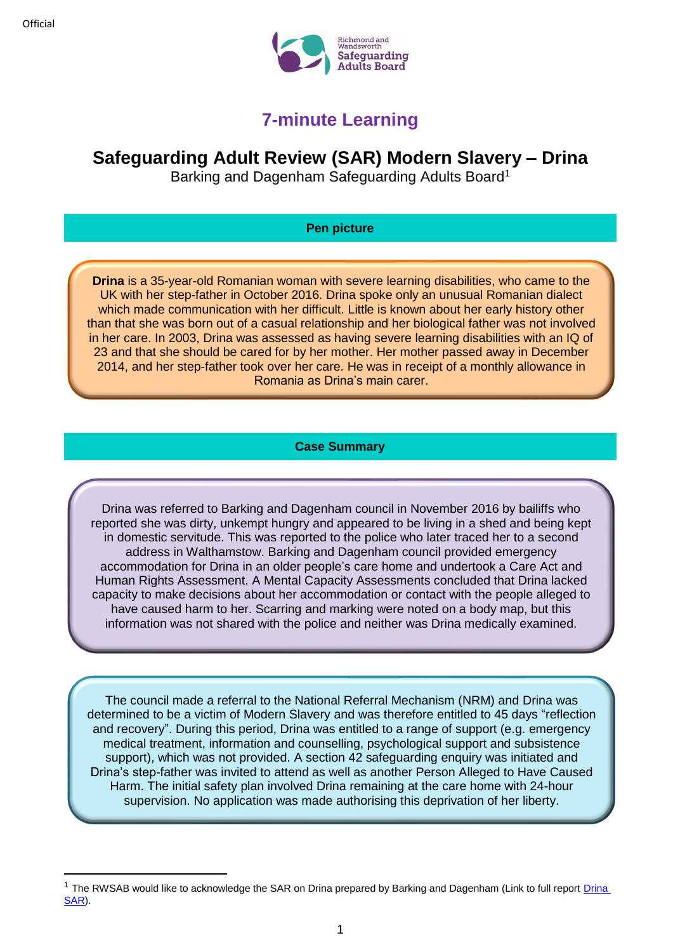**.** 



# **7-minute Learning**

# **Safeguarding Adult Review (SAR) Modern Slavery – Drina**

Barking and Dagenham Safeguarding Adults Board<sup>1</sup>

## **Pen picture**

**Drina** is a 35-year-old Romanian woman with severe learning disabilities, who came to the UK with her step-father in October 2016. Drina spoke only an unusual Romanian dialect which made communication with her difficult. Little is known about her early history other than that she was born out of a casual relationship and her biological father was not involved in her care. In 2003, Drina was assessed as having severe learning disabilities with an IQ of 23 and that she should be cared for by her mother. Her mother passed away in December 2014, and her step-father took over her care. He was in receipt of a monthly allowance in Romania as Drina's main carer.

## **Case Summary**

Drina was referred to Barking and Dagenham council in November 2016 by bailiffs who reported she was dirty, unkempt hungry and appeared to be living in a shed and being kept in domestic servitude. This was reported to the police who later traced her to a second address in Walthamstow. Barking and Dagenham council provided emergency accommodation for Drina in an older people's care home and undertook a Care Act and Human Rights Assessment. A Mental Capacity Assessments concluded that Drina lacked capacity to make decisions about her accommodation or contact with the people alleged to have caused harm to her. Scarring and marking were noted on a body map, but this information was not shared with the police and neither was Drina medically examined.

The council made a referral to the National Referral Mechanism (NRM) and Drina was determined to be a victim of Modern Slavery and was therefore entitled to 45 days "reflection and recovery". During this period, Drina was entitled to a range of support (e.g. emergency medical treatment, information and counselling, psychological support and subsistence support), which was not provided. A section 42 safeguarding enquiry was initiated and Drina's step-father was invited to attend as well as another Person Alleged to Have Caused Harm. The initial safety plan involved Drina remaining at the care home with 24-hour supervision. No application was made authorising this deprivation of her liberty.

<sup>&</sup>lt;sup>1</sup> The RWSAB would like to acknowledge the SAR on [Drina](https://www.bing.com/search?q=barking+and+dagenham+drina+SAR&src=IE-SearchBox&FORM=IESR3A) prepared by Barking and Dagenham (Link to full report Drina [SAR\)](https://www.bing.com/search?q=barking+and+dagenham+drina+SAR&src=IE-SearchBox&FORM=IESR3A).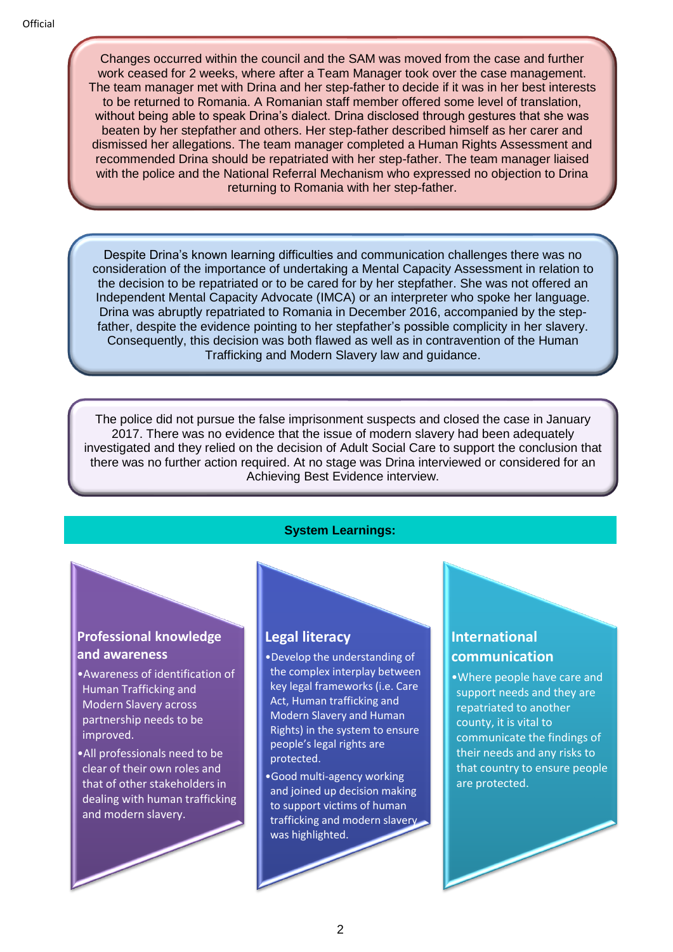Changes occurred within the council and the SAM was moved from the case and further work ceased for 2 weeks, where after a Team Manager took over the case management. The team manager met with Drina and her step-father to decide if it was in her best interests to be returned to Romania. A Romanian staff member offered some level of translation, without being able to speak Drina's dialect. Drina disclosed through gestures that she was beaten by her stepfather and others. Her step-father described himself as her carer and dismissed her allegations. The team manager completed a Human Rights Assessment and recommended Drina should be repatriated with her step-father. The team manager liaised with the police and the National Referral Mechanism who expressed no objection to Drina returning to Romania with her step-father.

Despite Drina's known learning difficulties and communication challenges there was no consideration of the importance of undertaking a Mental Capacity Assessment in relation to the decision to be repatriated or to be cared for by her stepfather. She was not offered an Independent Mental Capacity Advocate (IMCA) or an interpreter who spoke her language. Drina was abruptly repatriated to Romania in December 2016, accompanied by the stepfather, despite the evidence pointing to her stepfather's possible complicity in her slavery. Consequently, this decision was both flawed as well as in contravention of the Human Trafficking and Modern Slavery law and guidance.

The police did not pursue the false imprisonment suspects and closed the case in January 2017. There was no evidence that the issue of modern slavery had been adequately investigated and they relied on the decision of Adult Social Care to support the conclusion that there was no further action required. At no stage was Drina interviewed or considered for an Achieving Best Evidence interview.

# **System Learnings:**

## **Professional knowledge and awareness**

- •Awareness of identification of Human Trafficking and Modern Slavery across partnership needs to be improved.
- •All professionals need to be clear of their own roles and that of other stakeholders in dealing with human trafficking and modern slavery.

# **Legal literacy**

- •Develop the understanding of the complex interplay between key legal frameworks (i.e. Care Act, Human trafficking and Modern Slavery and Human Rights) in the system to ensure people's legal rights are protected.
- •Good multi-agency working and joined up decision making to support victims of human trafficking and modern slavery was highlighted.

# **International communication**

•Where people have care and support needs and they are repatriated to another county, it is vital to communicate the findings of their needs and any risks to that country to ensure people are protected.